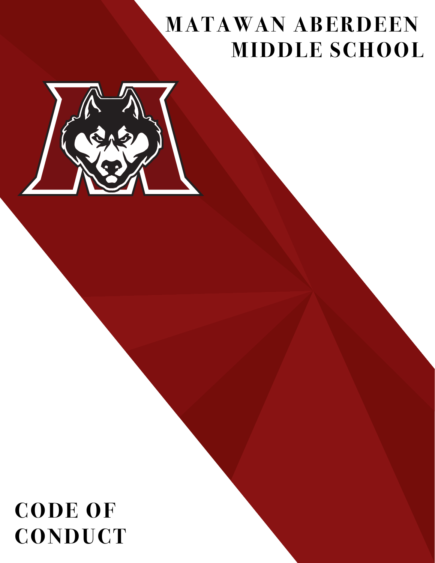# **MATAWAN ABERDEEN MIDDLE SCHOOL**



# **CODE OF CONDUCT**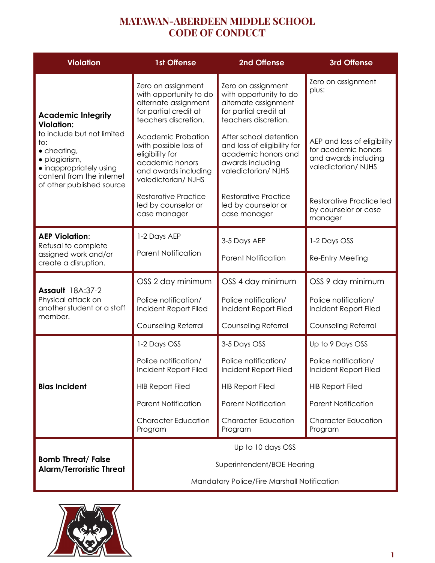| <b>Violation</b>                                                                                                                                                                                                 | <b>1st Offense</b>                                                                                                              | 2nd Offense                                                                                                            | <b>3rd Offense</b>                                                                               |
|------------------------------------------------------------------------------------------------------------------------------------------------------------------------------------------------------------------|---------------------------------------------------------------------------------------------------------------------------------|------------------------------------------------------------------------------------------------------------------------|--------------------------------------------------------------------------------------------------|
| <b>Academic Integrity</b><br><b>Violation:</b><br>to include but not limited<br>to:<br>$\bullet$ cheating,<br>· plagiarism,<br>• inappropriately using<br>content from the internet<br>of other published source | Zero on assignment<br>with opportunity to do<br>alternate assignment<br>for partial credit at<br>teachers discretion.           | Zero on assignment<br>with opportunity to do<br>alternate assignment<br>for partial credit at<br>teachers discretion.  | Zero on assignment<br>plus:                                                                      |
|                                                                                                                                                                                                                  | Academic Probation<br>with possible loss of<br>eligibility for<br>academic honors<br>and awards including<br>valedictorian/NJHS | After school detention<br>and loss of eligibility for<br>academic honors and<br>awards including<br>valedictorian/NJHS | AEP and loss of eligibility<br>for academic honors<br>and awards including<br>valedictorian/NJHS |
|                                                                                                                                                                                                                  | <b>Restorative Practice</b><br>led by counselor or<br>case manager                                                              | <b>Restorative Practice</b><br>led by counselor or<br>case manager                                                     | Restorative Practice led<br>by counselor or case<br>manager                                      |
| <b>AEP Violation:</b><br>Refusal to complete<br>assigned work and/or<br>create a disruption.                                                                                                                     | 1-2 Days AEP                                                                                                                    | 3-5 Days AEP                                                                                                           | 1-2 Days OSS                                                                                     |
|                                                                                                                                                                                                                  | <b>Parent Notification</b>                                                                                                      | <b>Parent Notification</b>                                                                                             | Re-Entry Meeting                                                                                 |
| Assault 18A:37-2                                                                                                                                                                                                 | OSS 2 day minimum                                                                                                               | OSS 4 day minimum                                                                                                      | OSS 9 day minimum                                                                                |
| Physical attack on<br>another student or a staff<br>member.                                                                                                                                                      | Police notification/<br>Incident Report Filed                                                                                   | Police notification/<br>Incident Report Filed                                                                          | Police notification/<br>Incident Report Filed                                                    |
|                                                                                                                                                                                                                  | Counseling Referral                                                                                                             | Counseling Referral                                                                                                    | Counseling Referral                                                                              |
| <b>Bias Incident</b>                                                                                                                                                                                             | 1-2 Days OSS                                                                                                                    | 3-5 Days OSS                                                                                                           | Up to 9 Days OSS                                                                                 |
|                                                                                                                                                                                                                  | Police notification/<br>Incident Report Filed                                                                                   | Police notification/<br>Incident Report Filed                                                                          | Police notification/<br>Incident Report Filed                                                    |
|                                                                                                                                                                                                                  | <b>HIB Report Filed</b>                                                                                                         | <b>HIB Report Filed</b>                                                                                                | <b>HIB Report Filed</b>                                                                          |
|                                                                                                                                                                                                                  | <b>Parent Notification</b>                                                                                                      | <b>Parent Notification</b>                                                                                             | <b>Parent Notification</b>                                                                       |
|                                                                                                                                                                                                                  | <b>Character Education</b><br>Program                                                                                           | <b>Character Education</b><br>Program                                                                                  | <b>Character Education</b><br>Program                                                            |
| <b>Bomb Threat/ False</b><br><b>Alarm/Terroristic Threat</b>                                                                                                                                                     | Up to 10 days OSS                                                                                                               |                                                                                                                        |                                                                                                  |
|                                                                                                                                                                                                                  | Superintendent/BOE Hearing                                                                                                      |                                                                                                                        |                                                                                                  |
|                                                                                                                                                                                                                  | Mandatory Police/Fire Marshall Notification                                                                                     |                                                                                                                        |                                                                                                  |

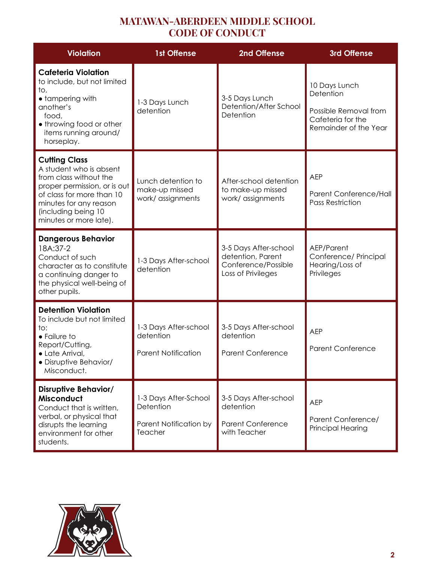| <b>Violation</b>                                                                                                                                                                                                  | <b>1st Offense</b>                                                      | 2nd Offense                                                                             | 3rd Offense                                                                                       |
|-------------------------------------------------------------------------------------------------------------------------------------------------------------------------------------------------------------------|-------------------------------------------------------------------------|-----------------------------------------------------------------------------------------|---------------------------------------------------------------------------------------------------|
| <b>Cafeteria Violation</b><br>to include, but not limited<br>to,<br>• tampering with<br>another's<br>food,<br>• throwing food or other<br>items running around/<br>horseplay.                                     | 1-3 Days Lunch<br>detention                                             | 3-5 Days Lunch<br>Detention/After School<br>Detention                                   | 10 Days Lunch<br>Detention<br>Possible Removal from<br>Cafeteria for the<br>Remainder of the Year |
| <b>Cutting Class</b><br>A student who is absent<br>from class without the<br>proper permission, or is out<br>of class for more than 10<br>minutes for any reason<br>(including being 10<br>minutes or more late). | Lunch detention to<br>make-up missed<br>work/ assignments               | After-school detention<br>to make-up missed<br>work/ assignments                        | <b>AEP</b><br>Parent Conference/Hall<br><b>Pass Restriction</b>                                   |
| <b>Dangerous Behavior</b><br>18A:37-2<br>Conduct of such<br>character as to constitute<br>a continuing danger to<br>the physical well-being of<br>other pupils.                                                   | 1-3 Days After-school<br>detention                                      | 3-5 Days After-school<br>detention, Parent<br>Conference/Possible<br>Loss of Privileges | AEP/Parent<br>Conference/ Principal<br>Hearing/Loss of<br>Privileges                              |
| <b>Detention Violation</b><br>To include but not limited<br>to:<br>• Failure to<br>Report/Cutting,<br>• Late Arrival,<br>· Disruptive Behavior/<br>Misconduct.                                                    | 1-3 Days After-school<br>detention<br><b>Parent Notification</b>        | 3-5 Days After-school<br>detention<br><b>Parent Conference</b>                          | <b>AEP</b><br><b>Parent Conference</b>                                                            |
| <b>Disruptive Behavior/</b><br><b>Misconduct</b><br>Conduct that is written,<br>verbal, or physical that<br>disrupts the learning<br>environment for other<br>students.                                           | 1-3 Days After-School<br>Detention<br>Parent Notification by<br>Teacher | 3-5 Days After-school<br>detention<br><b>Parent Conference</b><br>with Teacher          | <b>AEP</b><br>Parent Conference/<br><b>Principal Hearing</b>                                      |

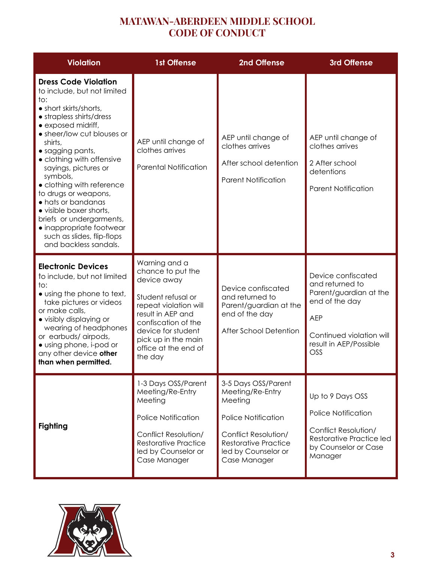| <b>Violation</b>                                                                                                                                                                                                                                                                                                                                                                                                                                                                                 | <b>1st Offense</b>                                                                                                                                                                                                           | 2nd Offense                                                                                                                                                                    | 3rd Offense                                                                                                                                                  |
|--------------------------------------------------------------------------------------------------------------------------------------------------------------------------------------------------------------------------------------------------------------------------------------------------------------------------------------------------------------------------------------------------------------------------------------------------------------------------------------------------|------------------------------------------------------------------------------------------------------------------------------------------------------------------------------------------------------------------------------|--------------------------------------------------------------------------------------------------------------------------------------------------------------------------------|--------------------------------------------------------------------------------------------------------------------------------------------------------------|
| <b>Dress Code Violation</b><br>to include, but not limited<br>to:<br>• short skirts/shorts,<br>• strapless shirts/dress<br>• exposed midriff,<br>• sheer/low cut blouses or<br>shirts,<br>• sagging pants,<br>• clothing with offensive<br>sayings, pictures or<br>symbols,<br>• clothing with reference<br>to drugs or weapons,<br>• hats or bandanas<br>· visible boxer shorts,<br>briefs or undergarments,<br>· inappropriate footwear<br>such as slides, flip-flops<br>and backless sandals. | AEP until change of<br>clothes arrives<br><b>Parental Notification</b>                                                                                                                                                       | AEP until change of<br>clothes arrives<br>After school detention<br><b>Parent Notification</b>                                                                                 | AEP until change of<br>clothes arrives<br>2 After school<br>detentions<br><b>Parent Notification</b>                                                         |
| <b>Electronic Devices</b><br>to include, but not limited<br>$\mathsf{to}:$<br>• using the phone to text,<br>take pictures or videos<br>or make calls,<br>• visibly displaying or<br>wearing of headphones<br>or earbuds/airpods,<br>• using phone, i-pod or<br>any other device other<br>than when permitted.                                                                                                                                                                                    | Warning and a<br>chance to put the<br>device away<br>Student refusal or<br>repeat violation will<br>result in AEP and<br>confiscation of the<br>device for student<br>pick up in the main<br>office at the end of<br>the day | Device confiscated<br>and returned to<br>Parent/guardian at the<br>end of the day<br>After School Detention                                                                    | Device confiscated<br>and returned to<br>Parent/guardian at the<br>end of the day<br><b>AEP</b><br>Continued violation will<br>result in AEP/Possible<br>OSS |
| <b>Fighting</b>                                                                                                                                                                                                                                                                                                                                                                                                                                                                                  | 1-3 Days OSS/Parent<br>Meeting/Re-Entry<br>Meeting<br><b>Police Notification</b><br>Conflict Resolution/<br><b>Restorative Practice</b><br>led by Counselor or<br>Case Manager                                               | 3-5 Days OSS/Parent<br>Meeting/Re-Entry<br>Meeting<br><b>Police Notification</b><br>Conflict Resolution/<br><b>Restorative Practice</b><br>led by Counselor or<br>Case Manager | Up to 9 Days OSS<br><b>Police Notification</b><br>Conflict Resolution/<br>Restorative Practice led<br>by Counselor or Case<br>Manager                        |

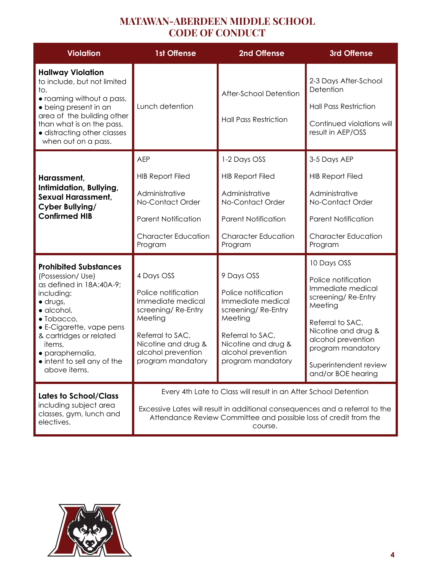| <b>Violation</b>                                                                                                                                                                                                                                                                             | <b>1st Offense</b>                                                                                                                                                                                                              | 2nd Offense                                                                                                                                                                   | 3rd Offense                                                                                                                                                                                                                   |
|----------------------------------------------------------------------------------------------------------------------------------------------------------------------------------------------------------------------------------------------------------------------------------------------|---------------------------------------------------------------------------------------------------------------------------------------------------------------------------------------------------------------------------------|-------------------------------------------------------------------------------------------------------------------------------------------------------------------------------|-------------------------------------------------------------------------------------------------------------------------------------------------------------------------------------------------------------------------------|
| <b>Hallway Violation</b><br>to include, but not limited<br>to,<br>• roaming without a pass,<br>• being present in an<br>area of the building other<br>than what is on the pass,<br>· distracting other classes<br>when out on a pass.                                                        | Lunch detention                                                                                                                                                                                                                 | After-School Detention<br><b>Hall Pass Restriction</b>                                                                                                                        | 2-3 Days After-School<br>Detention<br><b>Hall Pass Restriction</b><br>Continued violations will<br>result in AEP/OSS                                                                                                          |
| Harassment,<br>Intimidation, Bullying,<br><b>Sexual Harassment,</b><br>Cyber Bullying/<br><b>Confirmed HIB</b>                                                                                                                                                                               | <b>AEP</b><br><b>HIB Report Filed</b><br>Administrative<br>No-Contact Order<br><b>Parent Notification</b><br><b>Character Education</b><br>Program                                                                              | 1-2 Days OSS<br><b>HIB Report Filed</b><br>Administrative<br>No-Contact Order<br><b>Parent Notification</b><br><b>Character Education</b><br>Program                          | 3-5 Days AEP<br><b>HIB Report Filed</b><br>Administrative<br>No-Contact Order<br><b>Parent Notification</b><br><b>Character Education</b><br>Program                                                                          |
| <b>Prohibited Substances</b><br>(Possession/Use)<br>as defined in 18A:40A-9;<br>including:<br>$\bullet$ drugs,<br>$\bullet$ alcohol,<br>$\bullet$ Tobacco,<br>• E-Cigarette, vape pens<br>& cartridges or related<br>items,<br>· paraphernalia,<br>intent to sell any of the<br>above items. | 4 Days OSS<br>Police notification<br>Immediate medical<br>screening/Re-Entry<br>Meeting<br>Referral to SAC,<br>Nicotine and drug &<br>alcohol prevention<br>program mandatory                                                   | 9 Days OSS<br>Police notification<br>Immediate medical<br>screening/Re-Entry<br>Meeting<br>Referral to SAC,<br>Nicotine and drug &<br>alcohol prevention<br>program mandatory | 10 Days OSS<br>Police notification<br>Immediate medical<br>screening/Re-Entry<br>Meeting<br>Referral to SAC,<br>Nicotine and drug &<br>alcohol prevention<br>program mandatory<br>Superintendent review<br>and/or BOE hearing |
| <b>Lates to School/Class</b><br>including subject area<br>classes, gym, lunch and<br>electives.                                                                                                                                                                                              | Every 4th Late to Class will result in an After School Detention<br>Excessive Lates will result in additional consequences and a referral to the<br>Attendance Review Committee and possible loss of credit from the<br>course. |                                                                                                                                                                               |                                                                                                                                                                                                                               |

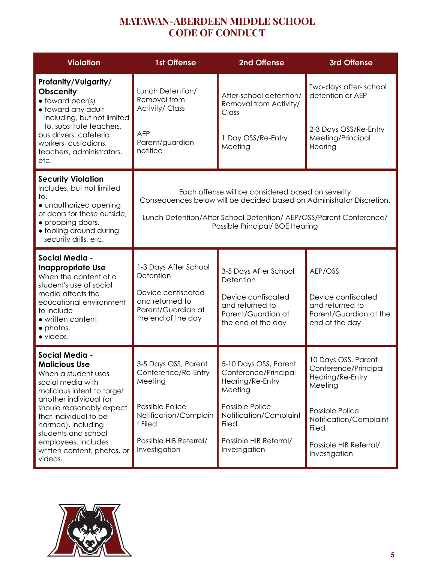| <b>Violation</b>                                                                                                                                                                                                                                                                                              | <b>1st Offense</b>                                                                                                                                                                                                                  | 2nd Offense                                                                                                                                                                          | 3rd Offense                                                                                                                                                                        |
|---------------------------------------------------------------------------------------------------------------------------------------------------------------------------------------------------------------------------------------------------------------------------------------------------------------|-------------------------------------------------------------------------------------------------------------------------------------------------------------------------------------------------------------------------------------|--------------------------------------------------------------------------------------------------------------------------------------------------------------------------------------|------------------------------------------------------------------------------------------------------------------------------------------------------------------------------------|
| Profanity/Vulgarity/<br><b>Obscenity</b><br>• toward peer(s)<br>· toward any adult<br>including, but not limited<br>to, substitute teachers,<br>bus drivers, cafeteria<br>workers, custodians,<br>teachers, administrators,<br>etc.                                                                           | Lunch Detention/<br>Removal from<br><b>Activity/Class</b><br><b>AEP</b><br>Parent/guardian<br>notified                                                                                                                              | After-school detention/<br>Removal from Activity/<br>Class<br>1 Day OSS/Re-Entry<br>Meeting                                                                                          | Two-days after-school<br>detention or AEP<br>2-3 Days OSS/Re-Entry<br>Meeting/Principal<br>Hearing                                                                                 |
| <b>Security Violation</b><br>Includes, but not limited<br>to,<br>• unauthorized opening<br>of doors for those outside,<br>• propping doors,<br>• fooling around during<br>security drills, etc.                                                                                                               | Each offense will be considered based on severity<br>Consequences below will be decided based on Administrator Discretion.<br>Lunch Detention/After School Detention/ AEP/OSS/Parent Conference/<br>Possible Principal/ BOE Hearing |                                                                                                                                                                                      |                                                                                                                                                                                    |
| Social Media -<br><b>Inappropriate Use</b><br>When the content of a<br>student's use of social<br>media affects the<br>educational environment<br>to include<br>• written content,<br>$\bullet$ photos,<br>· videos.                                                                                          | 1-3 Days After School<br>Detention<br>Device confiscated<br>and returned to<br>Parent/Guardian at<br>the end of the day                                                                                                             | 3-5 Days After School<br>Detention<br>Device confiscated<br>and returned to<br>Parent/Guardian at<br>the end of the day                                                              | AEP/OSS<br>Device confiscated<br>and returned to<br>Parent/Guardian at the<br>end of the day                                                                                       |
| Social Media -<br><b>Malicious Use</b><br>When a student uses<br>social media with<br>malicious intent to target<br>another individual (or<br>should reasonably expect<br>that individual to be<br>harmed), including<br>students and school<br>employees. Includes<br>written content, photos, or<br>videos. | 3-5 Days OSS, Parent<br>Conference/Re-Entry<br>Meeting<br>Possible Police<br>Notification/Complain<br>t Filed<br>Possible HIB Referral/<br>Investigation                                                                            | 5-10 Days OSS, Parent<br>Conterence/Principal<br>Hearing/Re-Entry<br>Meeting<br>Possible Police<br>Notification/Complaint<br><b>Filed</b><br>Possible HIB Referral/<br>Investigation | 10 Days OSS, Parent<br>Conference/Principal<br>Hearing/Re-Entry<br>Meeting<br>Possible Police<br>Notification/Complaint<br><b>Filed</b><br>Possible HIB Referral/<br>Investigation |

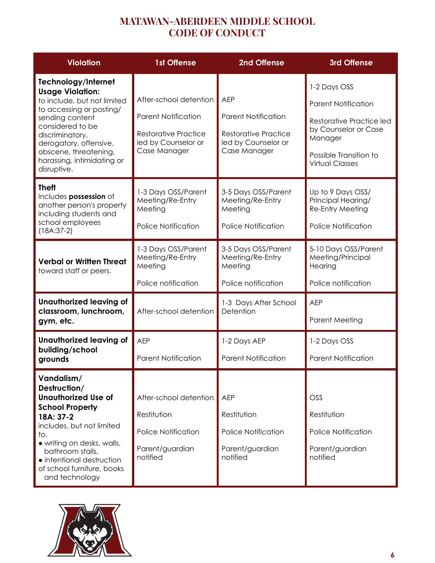| <b>Violation</b>                                                                                                                                                                                                                                                    | <b>1st Offense</b>                                                                                                         | 2nd Offense                                                                                                    | 3rd Offense                                                                                                                                                          |
|---------------------------------------------------------------------------------------------------------------------------------------------------------------------------------------------------------------------------------------------------------------------|----------------------------------------------------------------------------------------------------------------------------|----------------------------------------------------------------------------------------------------------------|----------------------------------------------------------------------------------------------------------------------------------------------------------------------|
| Technology/Internet<br><b>Usage Violation:</b><br>to include, but not limited<br>to accessing or posting/<br>sending content<br>considered to be<br>discriminatory,<br>derogatory, offensive,<br>obscene, threatening,<br>harassing, intimidating or<br>disruptive. | After-school detention<br><b>Parent Notification</b><br><b>Restorative Practice</b><br>led by Counselor or<br>Case Manager | <b>AEP</b><br><b>Parent Notification</b><br><b>Restorative Practice</b><br>led by Counselor or<br>Case Manager | 1-2 Days OSS<br><b>Parent Notification</b><br><b>Restorative Practice led</b><br>by Counselor or Case<br>Manager<br>Possible Transition to<br><b>Virtual Classes</b> |
| <b>Theft</b><br>Includes possession of<br>another person's property<br>including students and<br>school employees<br>$(18A:37-2)$                                                                                                                                   | 1-3 Days OSS/Parent<br>Meeting/Re-Entry<br>Meeting<br><b>Police Notification</b>                                           | 3-5 Days OSS/Parent<br>Meeting/Re-Entry<br>Meeting<br><b>Police Notification</b>                               | Up to 9 Days OSS/<br>Principal Hearing/<br><b>Re-Entry Meeting</b><br><b>Police Notification</b>                                                                     |
| <b>Verbal or Written Threat</b><br>toward staff or peers.                                                                                                                                                                                                           | 1-3 Days OSS/Parent<br>Meeting/Re-Entry<br>Meeting<br>Police notification                                                  | 3-5 Days OSS/Parent<br>Meeting/Re-Entry<br>Meeting<br>Police notification                                      | 5-10 Days OSS/Parent<br>Meeting/Principal<br>Hearing<br>Police notification                                                                                          |
| <b>Unauthorized leaving of</b><br>classroom, lunchroom,<br>gym, etc.                                                                                                                                                                                                | After-school detention                                                                                                     | 1-3 Days After School<br>Detention                                                                             | <b>AEP</b><br><b>Parent Meeting</b>                                                                                                                                  |
| <b>Unauthorized leaving of</b><br>building/school<br>grounds                                                                                                                                                                                                        | <b>AEP</b><br><b>Parent Notification</b>                                                                                   | 1-2 Days AEP<br><b>Parent Notification</b>                                                                     | 1-2 Days OSS<br><b>Parent Notification</b>                                                                                                                           |
| Vandalism/<br>Destruction/<br><b>Unauthorized Use of</b><br><b>School Property</b><br>18A: 37-2<br>includes, but not limited<br>to,<br>• writing on desks, walls,<br>bathroom stalls,<br>• intentional destruction<br>of school furniture, books<br>and technology  | After-school detention<br>Restitution<br>Police Notification<br>Parent/guardian<br>notified                                | <b>AEP</b><br>Restitution<br><b>Police Notification</b><br>Parent/guardian<br>notified                         | OSS<br>Restitution<br><b>Police Notification</b><br>Parent/guardian<br>notified                                                                                      |